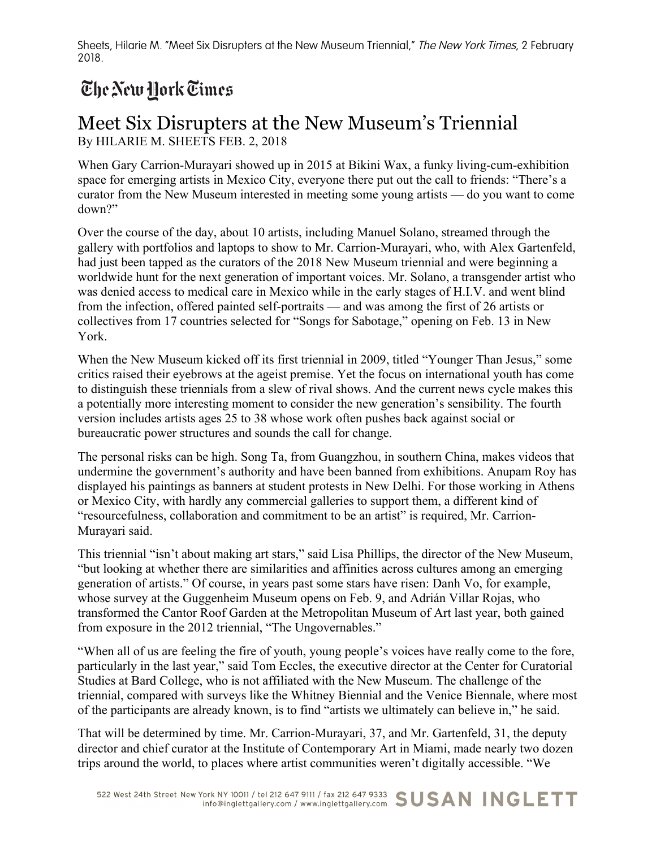Sheets, Hilarie M. "Meet Six Disrupters at the New Museum Triennial," The New York Times, 2 February 2018.

## The New Hork Times

## Meet Six Disrupters at the New Museum's Triennial By HILARIE M. SHEETS FEB. 2, 2018

When Gary Carrion-Murayari showed up in 2015 at Bikini Wax, a funky living-cum-exhibition space for emerging artists in Mexico City, everyone there put out the call to friends: "There's a curator from the New Museum interested in meeting some young artists — do you want to come down?"

Over the course of the day, about 10 artists, including Manuel Solano, streamed through the gallery with portfolios and laptops to show to Mr. Carrion-Murayari, who, with Alex Gartenfeld, had just been tapped as the curators of the 2018 New Museum triennial and were beginning a worldwide hunt for the next generation of important voices. Mr. Solano, a transgender artist who was denied access to medical care in Mexico while in the early stages of H.I.V. and went blind from the infection, offered painted self-portraits — and was among the first of 26 artists or collectives from 17 countries selected for "Songs for Sabotage," opening on Feb. 13 in New York.

When the New Museum kicked off its first triennial in 2009, titled "Younger Than Jesus," some critics raised their eyebrows at the ageist premise. Yet the focus on international youth has come to distinguish these triennials from a slew of rival shows. And the current news cycle makes this a potentially more interesting moment to consider the new generation's sensibility. The fourth version includes artists ages 25 to 38 whose work often pushes back against social or bureaucratic power structures and sounds the call for change.

The personal risks can be high. Song Ta, from Guangzhou, in southern China, makes videos that undermine the government's authority and have been banned from exhibitions. Anupam Roy has displayed his paintings as banners at student protests in New Delhi. For those working in Athens or Mexico City, with hardly any commercial galleries to support them, a different kind of "resourcefulness, collaboration and commitment to be an artist" is required, Mr. Carrion-Murayari said.

This triennial "isn't about making art stars," said Lisa Phillips, the director of the New Museum, "but looking at whether there are similarities and affinities across cultures among an emerging generation of artists." Of course, in years past some stars have risen: Danh Vo, for example, whose survey at the Guggenheim Museum opens on Feb. 9, and Adrián Villar Rojas, who transformed the Cantor Roof Garden at the Metropolitan Museum of Art last year, both gained from exposure in the 2012 triennial, "The Ungovernables."

"When all of us are feeling the fire of youth, young people's voices have really come to the fore, particularly in the last year," said Tom Eccles, the executive director at the Center for Curatorial Studies at Bard College, who is not affiliated with the New Museum. The challenge of the triennial, compared with surveys like the Whitney Biennial and the Venice Biennale, where most of the participants are already known, is to find "artists we ultimately can believe in," he said.

That will be determined by time. Mr. Carrion-Murayari, 37, and Mr. Gartenfeld, 31, the deputy director and chief curator at the Institute of Contemporary Art in Miami, made nearly two dozen trips around the world, to places where artist communities weren't digitally accessible. "We